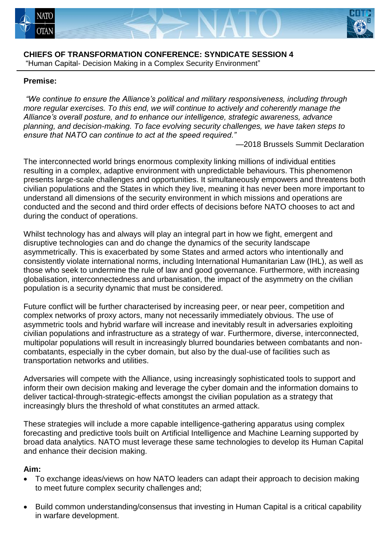



#### **CHIEFS OF TRANSFORMATION CONFERENCE: SYNDICATE SESSION 4** "Human Capital- Decision Making in a Complex Security Environment"

### **Premise:**

*"We continue to ensure the Alliance's political and military responsiveness, including through more regular exercises. To this end, we will continue to actively and coherently manage the Alliance's overall posture, and to enhance our intelligence, strategic awareness, advance planning, and decision-making. To face evolving security challenges, we have taken steps to ensure that NATO can continue to act at the speed required."* 

—2018 Brussels Summit Declaration

The interconnected world brings enormous complexity linking millions of individual entities resulting in a complex, adaptive environment with unpredictable behaviours. This phenomenon presents large-scale challenges and opportunities. It simultaneously empowers and threatens both civilian populations and the States in which they live, meaning it has never been more important to understand all dimensions of the security environment in which missions and operations are conducted and the second and third order effects of decisions before NATO chooses to act and during the conduct of operations.

Whilst technology has and always will play an integral part in how we fight, emergent and disruptive technologies can and do change the dynamics of the security landscape asymmetrically. This is exacerbated by some States and armed actors who intentionally and consistently violate international norms, including International Humanitarian Law (IHL), as well as those who seek to undermine the rule of law and good governance. Furthermore, with increasing globalisation, interconnectedness and urbanisation, the impact of the asymmetry on the civilian population is a security dynamic that must be considered.

Future conflict will be further characterised by increasing peer, or near peer, competition and complex networks of proxy actors, many not necessarily immediately obvious. The use of asymmetric tools and hybrid warfare will increase and inevitably result in adversaries exploiting civilian populations and infrastructure as a strategy of war. Furthermore, diverse, interconnected, multipolar populations will result in increasingly blurred boundaries between combatants and noncombatants, especially in the cyber domain, but also by the dual-use of facilities such as transportation networks and utilities.

Adversaries will compete with the Alliance, using increasingly sophisticated tools to support and inform their own decision making and leverage the cyber domain and the information domains to deliver tactical-through-strategic-effects amongst the civilian population as a strategy that increasingly blurs the threshold of what constitutes an armed attack.

These strategies will include a more capable intelligence-gathering apparatus using complex forecasting and predictive tools built on Artificial Intelligence and Machine Learning supported by broad data analytics. NATO must leverage these same technologies to develop its Human Capital and enhance their decision making.

# **Aim:**

- To exchange ideas/views on how NATO leaders can adapt their approach to decision making to meet future complex security challenges and;
- Build common understanding/consensus that investing in Human Capital is a critical capability in warfare development.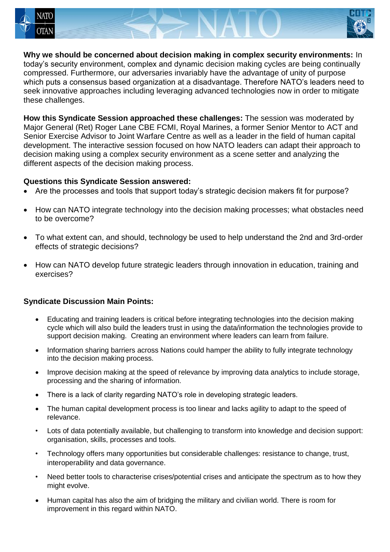



**Why we should be concerned about decision making in complex security environments:** In today's security environment, complex and dynamic decision making cycles are being continually compressed. Furthermore, our adversaries invariably have the advantage of unity of purpose which puts a consensus based organization at a disadvantage. Therefore NATO's leaders need to seek innovative approaches including leveraging advanced technologies now in order to mitigate these challenges.

**How this Syndicate Session approached these challenges:** The session was moderated by Major General (Ret) Roger Lane CBE FCMI, Royal Marines, a former Senior Mentor to ACT and Senior Exercise Advisor to Joint Warfare Centre as well as a leader in the field of human capital development. The interactive session focused on how NATO leaders can adapt their approach to decision making using a complex security environment as a scene setter and analyzing the different aspects of the decision making process.

### **Questions this Syndicate Session answered:**

- Are the processes and tools that support today's strategic decision makers fit for purpose?
- How can NATO integrate technology into the decision making processes; what obstacles need to be overcome?
- To what extent can, and should, technology be used to help understand the 2nd and 3rd-order effects of strategic decisions?
- How can NATO develop future strategic leaders through innovation in education, training and exercises?

# **Syndicate Discussion Main Points:**

- Educating and training leaders is critical before integrating technologies into the decision making cycle which will also build the leaders trust in using the data/information the technologies provide to support decision making. Creating an environment where leaders can learn from failure.
- Information sharing barriers across Nations could hamper the ability to fully integrate technology into the decision making process.
- Improve decision making at the speed of relevance by improving data analytics to include storage, processing and the sharing of information.
- There is a lack of clarity regarding NATO's role in developing strategic leaders.
- The human capital development process is too linear and lacks agility to adapt to the speed of relevance.
- Lots of data potentially available, but challenging to transform into knowledge and decision support: organisation, skills, processes and tools.
- Technology offers many opportunities but considerable challenges: resistance to change, trust, interoperability and data governance.
- Need better tools to characterise crises/potential crises and anticipate the spectrum as to how they might evolve.
- Human capital has also the aim of bridging the military and civilian world. There is room for improvement in this regard within NATO.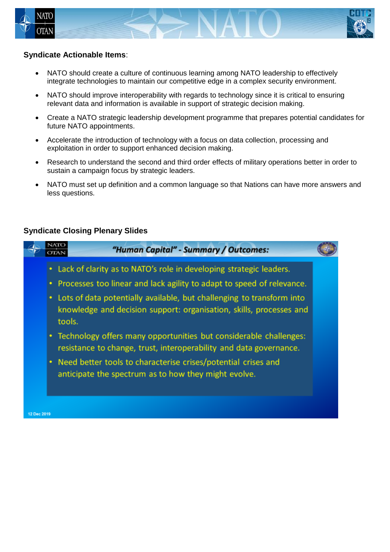



### **Syndicate Actionable Items**:

- NATO should create a culture of continuous learning among NATO leadership to effectively integrate technologies to maintain our competitive edge in a complex security environment.
- NATO should improve interoperability with regards to technology since it is critical to ensuring relevant data and information is available in support of strategic decision making.
- Create a NATO strategic leadership development programme that prepares potential candidates for future NATO appointments.
- Accelerate the introduction of technology with a focus on data collection, processing and exploitation in order to support enhanced decision making.
- Research to understand the second and third order effects of military operations better in order to sustain a campaign focus by strategic leaders.
- NATO must set up definition and a common language so that Nations can have more answers and less questions.

### **Syndicate Closing Plenary Slides**